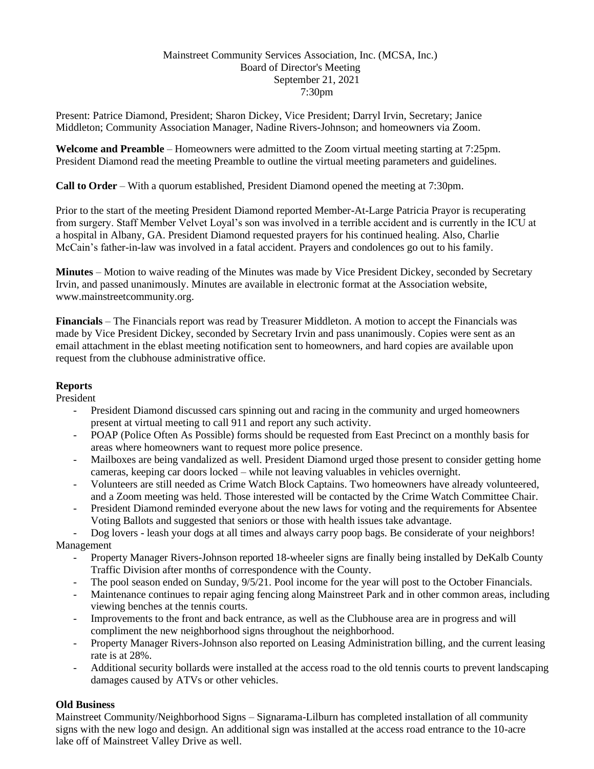### Mainstreet Community Services Association, Inc. (MCSA, Inc.) Board of Director's Meeting September 21, 2021 7:30pm

Present: Patrice Diamond, President; Sharon Dickey, Vice President; Darryl Irvin, Secretary; Janice Middleton; Community Association Manager, Nadine Rivers-Johnson; and homeowners via Zoom.

**Welcome and Preamble** – Homeowners were admitted to the Zoom virtual meeting starting at 7:25pm. President Diamond read the meeting Preamble to outline the virtual meeting parameters and guidelines.

**Call to Order** – With a quorum established, President Diamond opened the meeting at 7:30pm.

Prior to the start of the meeting President Diamond reported Member-At-Large Patricia Prayor is recuperating from surgery. Staff Member Velvet Loyal's son was involved in a terrible accident and is currently in the ICU at a hospital in Albany, GA. President Diamond requested prayers for his continued healing. Also, Charlie McCain's father-in-law was involved in a fatal accident. Prayers and condolences go out to his family.

**Minutes** – Motion to waive reading of the Minutes was made by Vice President Dickey, seconded by Secretary Irvin, and passed unanimously. Minutes are available in electronic format at the Association website, [www.mainstreetcommunity.org.](http://www.mainstreetcommunity.org/)

**Financials** – The Financials report was read by Treasurer Middleton. A motion to accept the Financials was made by Vice President Dickey, seconded by Secretary Irvin and pass unanimously. Copies were sent as an email attachment in the eblast meeting notification sent to homeowners, and hard copies are available upon request from the clubhouse administrative office.

## **Reports**

President

- President Diamond discussed cars spinning out and racing in the community and urged homeowners present at virtual meeting to call 911 and report any such activity.
- POAP (Police Often As Possible) forms should be requested from East Precinct on a monthly basis for areas where homeowners want to request more police presence.
- Mailboxes are being vandalized as well. President Diamond urged those present to consider getting home cameras, keeping car doors locked – while not leaving valuables in vehicles overnight.
- Volunteers are still needed as Crime Watch Block Captains. Two homeowners have already volunteered, and a Zoom meeting was held. Those interested will be contacted by the Crime Watch Committee Chair.
- President Diamond reminded everyone about the new laws for voting and the requirements for Absentee Voting Ballots and suggested that seniors or those with health issues take advantage.

Dog lovers - leash your dogs at all times and always carry poop bags. Be considerate of your neighbors! Management

- Property Manager Rivers-Johnson reported 18-wheeler signs are finally being installed by DeKalb County Traffic Division after months of correspondence with the County.
- The pool season ended on Sunday,  $9/5/21$ . Pool income for the year will post to the October Financials.
- Maintenance continues to repair aging fencing along Mainstreet Park and in other common areas, including viewing benches at the tennis courts.
- Improvements to the front and back entrance, as well as the Clubhouse area are in progress and will compliment the new neighborhood signs throughout the neighborhood.
- Property Manager Rivers-Johnson also reported on Leasing Administration billing, and the current leasing rate is at 28%.
- Additional security bollards were installed at the access road to the old tennis courts to prevent landscaping damages caused by ATVs or other vehicles.

# **Old Business**

Mainstreet Community/Neighborhood Signs – Signarama-Lilburn has completed installation of all community signs with the new logo and design. An additional sign was installed at the access road entrance to the 10-acre lake off of Mainstreet Valley Drive as well.